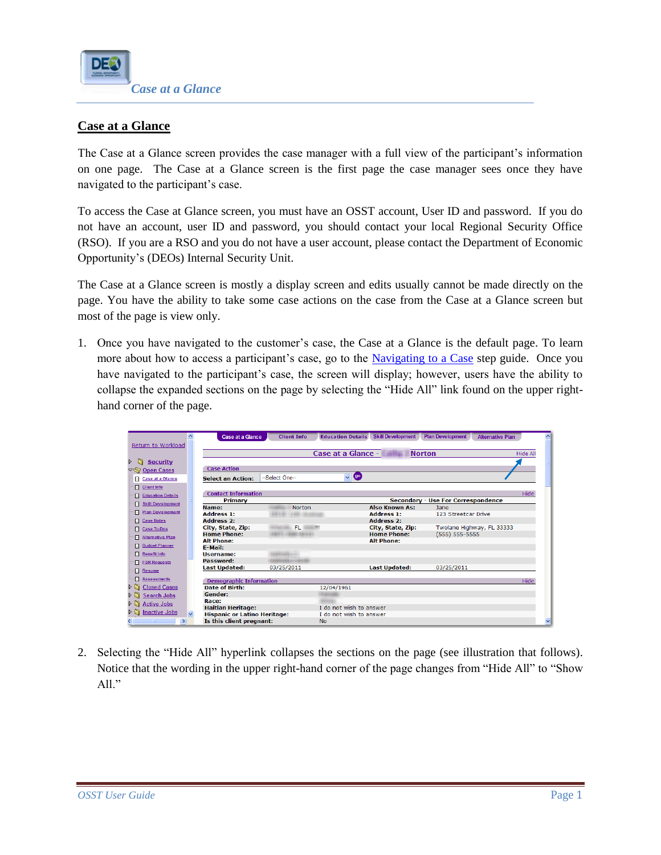

# **Case at a Glance**

The Case at a Glance screen provides the case manager with a full view of the participant's information on one page. The Case at a Glance screen is the first page the case manager sees once they have navigated to the participant's case.

To access the Case at Glance screen, you must have an OSST account, User ID and password. If you do not have an account, user ID and password, you should contact your local Regional Security Office (RSO). If you are a RSO and you do not have a user account, please contact the Department of Economic Opportunity's (DEOs) Internal Security Unit.

The Case at a Glance screen is mostly a display screen and edits usually cannot be made directly on the page. You have the ability to take some case actions on the case from the Case at a Glance screen but most of the page is view only.

1. Once you have navigated to the customer's case, the Case at a Glance is the default page. To learn more about how to access a participant's case, go to the [Navigating to a Case](http://sitefinity.floridajobs.org/PDG/wt/NavigatingtoaCase.pdf) step guide. Once you have navigated to the participant's case, the screen will display; however, users have the ability to collapse the expanded sections on the page by selecting the "Hide All" link found on the upper righthand corner of the page.

|                                               | <b>Case at a Glance</b>             | <b>Client Info</b>    | <b>Education Details Skill Development</b> | <b>Plan Development</b><br><b>Alternative Plan</b> |                 |
|-----------------------------------------------|-------------------------------------|-----------------------|--------------------------------------------|----------------------------------------------------|-----------------|
| Return to Workload                            |                                     |                       |                                            |                                                    |                 |
|                                               |                                     |                       | Case at a Glance -                         | <b>Norton</b>                                      | <b>Hide All</b> |
| $\triangleright$ 51<br><b>Security</b>        |                                     |                       |                                            |                                                    |                 |
| ▽ Sy Open Cases                               | <b>Case Action</b>                  |                       |                                            |                                                    |                 |
| Case at a Glance                              | <b>Select an Action:</b>            | --Select One--        | <b>GO</b><br>$\vee$                        |                                                    |                 |
| <b>Client Info</b><br>п.                      |                                     |                       |                                            |                                                    |                 |
| <b>Education Details</b><br>п                 | <b>Contact Information</b>          |                       |                                            |                                                    | Hide            |
| <b>Skill Development</b>                      | Primary                             |                       |                                            | <b>Secondary - Use For Correspondence</b>          |                 |
| <b>Plan Development</b>                       | Name:                               | <b>Norton</b>         | <b>Also Known As:</b>                      | <b>Jane</b>                                        |                 |
|                                               | <b>Address 1:</b>                   |                       | <b>Address 1:</b>                          | 123 Streetcar Drive                                |                 |
| <b>El Case Notes</b>                          | <b>Address 2:</b>                   |                       | Address 2:                                 |                                                    |                 |
| <b>Case To-Dos</b><br>п.                      | City, State, Zip:                   | FL.                   | City, State, Zip:                          | Twolane Highway, FL 33333                          |                 |
| <b>Alternative Plan</b><br>п                  | <b>Home Phone:</b>                  | <b>CARD CARD CALL</b> | <b>Home Phone:</b>                         | $(555) 555 - 5555$                                 |                 |
| <b>Budget Planner</b>                         | <b>Alt Phone:</b>                   |                       | <b>Alt Phone:</b>                          |                                                    |                 |
|                                               | <b>F-Mail:</b>                      |                       |                                            |                                                    |                 |
| <b>Benefit Info</b><br>n                      | <b>Username:</b><br>Password:       |                       |                                            |                                                    |                 |
| <b>FSR Requests</b><br>п.                     |                                     |                       |                                            |                                                    |                 |
| п<br><b>Resume</b>                            | Last Updated:                       | 03/25/2011            | <b>Last Updated:</b>                       | 03/25/2011                                         |                 |
| <b>Assessments</b>                            | <b>Demographic Information</b>      |                       |                                            |                                                    | Hide            |
| Closed Cases                                  | <b>Date of Birth:</b>               |                       | 12/04/1961                                 |                                                    |                 |
| Search Jobs                                   | Gender:                             |                       |                                            |                                                    |                 |
| <b>D Active Jobs</b>                          | Race:                               |                       |                                            |                                                    |                 |
|                                               | <b>Haitian Heritage:</b>            |                       | I do not wish to answer                    |                                                    |                 |
| $\triangleright$ $\blacksquare$ Inactive Jobs | <b>Hispanic or Latino Heritage:</b> |                       | I do not wish to answer                    |                                                    |                 |
| $\rightarrow$                                 | Is this client pregnant:            |                       | <b>No</b>                                  |                                                    |                 |

2. Selecting the "Hide All" hyperlink collapses the sections on the page (see illustration that follows). Notice that the wording in the upper right-hand corner of the page changes from "Hide All" to "Show All."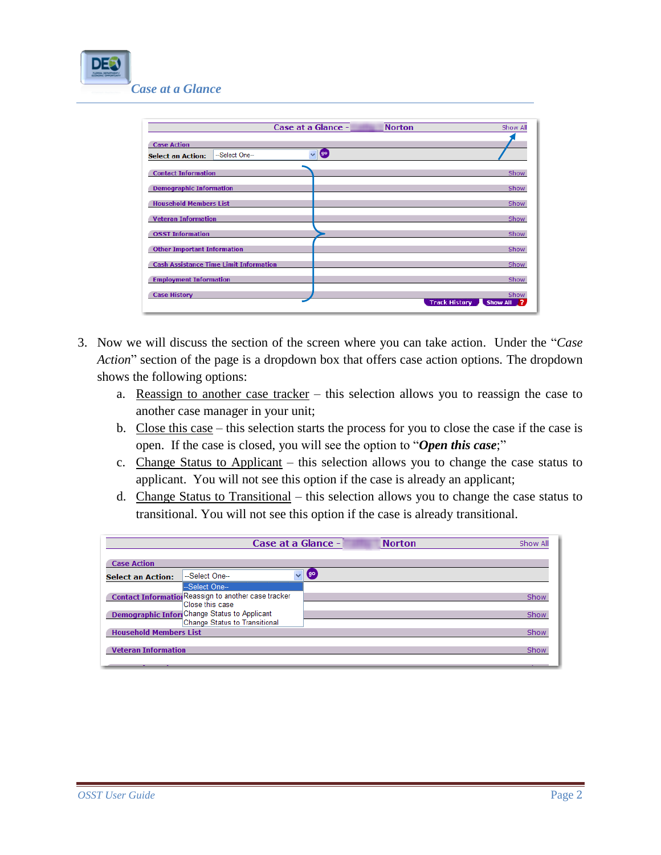

|                                               | Case at a Glance -                        | <b>Norton</b>        | Show All              |
|-----------------------------------------------|-------------------------------------------|----------------------|-----------------------|
| <b>Case Action</b>                            |                                           |                      |                       |
| --Select One--<br><b>Select an Action:</b>    | $\overline{\mathbf{v}}$<br>$\overline{g}$ |                      |                       |
| <b>Contact Information</b>                    |                                           |                      | Show                  |
|                                               |                                           |                      |                       |
| <b>Demographic Information</b>                |                                           |                      | Show                  |
| <b>Household Members List</b>                 |                                           |                      | Show                  |
| <b>Veteran Information</b>                    |                                           |                      | Show                  |
| <b>OSST Information</b>                       |                                           |                      | Show                  |
| <b>Other Important Information</b>            |                                           |                      | Show                  |
| <b>Cash Assistance Time Limit Information</b> |                                           |                      | Show                  |
| <b>Employment Information</b>                 |                                           |                      | Show                  |
|                                               |                                           |                      |                       |
| <b>Case History</b>                           |                                           | <b>Track History</b> | Show<br>Show All<br>7 |
|                                               |                                           |                      |                       |

- 3. Now we will discuss the section of the screen where you can take action. Under the "*Case Action*" section of the page is a dropdown box that offers case action options. The dropdown shows the following options:
	- a. Reassign to another case tracker this selection allows you to reassign the case to another case manager in your unit;
	- b. Close this case this selection starts the process for you to close the case if the case is open. If the case is closed, you will see the option to "*Open this case*;"
	- c. Change Status to Applicant this selection allows you to change the case status to applicant. You will not see this option if the case is already an applicant;
	- d. Change Status to Transitional this selection allows you to change the case status to transitional. You will not see this option if the case is already transitional.

|                               | Case at a Glance -                                   |              | <b>Norton</b> | Show All |
|-------------------------------|------------------------------------------------------|--------------|---------------|----------|
| <b>Case Action</b>            |                                                      |              |               |          |
| <b>Select an Action:</b>      | --Select One--                                       | $\checkmark$ | (go)          |          |
|                               | -Select One--                                        |              |               |          |
|                               | Contact Information Reassign to another case tracker |              |               | Show     |
|                               | Close this case                                      |              |               |          |
|                               | <b>Demographic Infort</b> Change Status to Applicant |              |               | Show     |
|                               | Change Status to Transitional                        |              |               |          |
| <b>Household Members List</b> |                                                      |              |               | Show     |
|                               |                                                      |              |               |          |
| <b>Veteran Information</b>    |                                                      |              |               | Show     |
|                               |                                                      |              |               |          |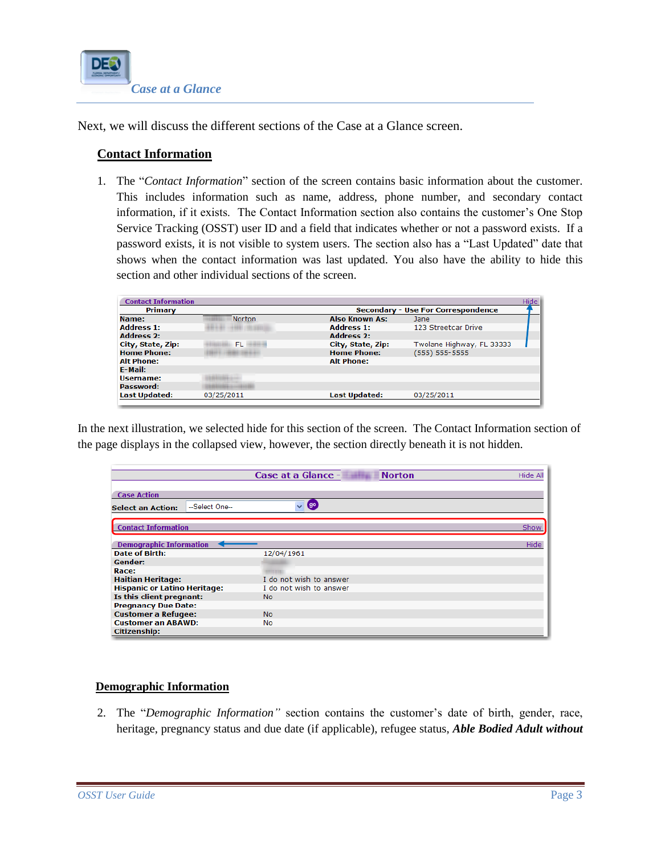

Next, we will discuss the different sections of the Case at a Glance screen.

# **Contact Information**

1. The "*Contact Information*" section of the screen contains basic information about the customer. This includes information such as name, address, phone number, and secondary contact information, if it exists. The Contact Information section also contains the customer's One Stop Service Tracking (OSST) user ID and a field that indicates whether or not a password exists. If a password exists, it is not visible to system users. The section also has a "Last Updated" date that shows when the contact information was last updated. You also have the ability to hide this section and other individual sections of the screen.

| <b>Contact Information</b> |                                    |                       |                           | Hide |
|----------------------------|------------------------------------|-----------------------|---------------------------|------|
| Primary                    | Secondary - Use For Correspondence |                       |                           |      |
| Name:                      | Norton                             | <b>Also Known As:</b> | Jane                      |      |
| <b>Address 1:</b>          |                                    | <b>Address 1:</b>     | 123 Streetcar Drive       |      |
| <b>Address 2:</b>          |                                    | <b>Address 2:</b>     |                           |      |
| City, State, Zip:          | FL.                                | City, State, Zip:     | Twolane Highway, FL 33333 |      |
| <b>Home Phone:</b>         |                                    | <b>Home Phone:</b>    | (555) 555-5555            |      |
| <b>Alt Phone:</b>          |                                    | <b>Alt Phone:</b>     |                           |      |
| E-Mail:                    |                                    |                       |                           |      |
| Username:                  |                                    |                       |                           |      |
| Password:                  |                                    |                       |                           |      |
| <b>Last Updated:</b>       | 03/25/2011                         | <b>Last Updated:</b>  | 03/25/2011                |      |

In the next illustration, we selected hide for this section of the screen. The Contact Information section of the page displays in the collapsed view, however, the section directly beneath it is not hidden.

|                                          | Case at a Glance -<br><b>Norton</b>       | <b>Hide All</b> |
|------------------------------------------|-------------------------------------------|-----------------|
| <b>Case Action</b>                       |                                           |                 |
| -Select One-<br><b>Select an Action:</b> | $\left( 9^{\circ} \right)$<br>$\ddotmark$ |                 |
| <b>Contact Information</b>               |                                           | Show            |
| <b>Demographic Information</b>           |                                           | Hide            |
| <b>Date of Birth:</b>                    | 12/04/1961                                |                 |
| Gender:                                  |                                           |                 |
| Race:                                    |                                           |                 |
| <b>Haitian Heritage:</b>                 | I do not wish to answer                   |                 |
| <b>Hispanic or Latino Heritage:</b>      | I do not wish to answer                   |                 |
| Is this client pregnant:                 | <b>No</b>                                 |                 |
| <b>Pregnancy Due Date:</b>               |                                           |                 |
| <b>Customer a Refugee:</b>               | <b>No</b>                                 |                 |
| <b>Customer an ABAWD:</b>                | <b>No</b>                                 |                 |
| <b>Citizenship:</b>                      |                                           |                 |

### **Demographic Information**

2. The "*Demographic Information"* section contains the customer's date of birth, gender, race, heritage, pregnancy status and due date (if applicable), refugee status, *Able Bodied Adult without*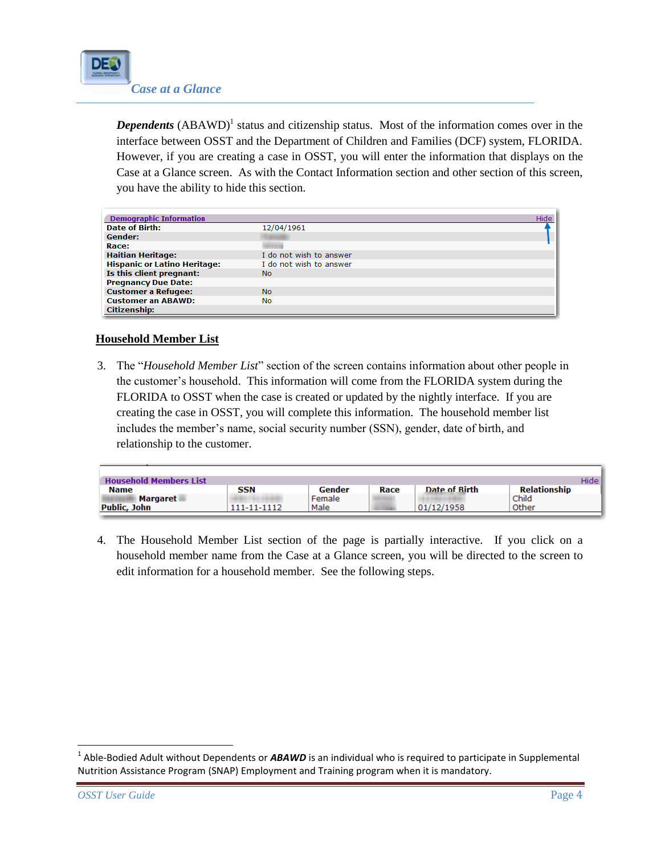

**Dependents** (ABAWD)<sup>1</sup> status and citizenship status. Most of the information comes over in the interface between OSST and the Department of Children and Families (DCF) system, FLORIDA. However, if you are creating a case in OSST, you will enter the information that displays on the Case at a Glance screen. As with the Contact Information section and other section of this screen, you have the ability to hide this section.

| <b>Demographic Information</b>      | Hide                    |
|-------------------------------------|-------------------------|
| <b>Date of Birth:</b>               | 12/04/1961              |
| Gender:                             |                         |
| Race:                               |                         |
| <b>Haitian Heritage:</b>            | I do not wish to answer |
| <b>Hispanic or Latino Heritage:</b> | I do not wish to answer |
| Is this client pregnant:            | No                      |
| <b>Pregnancy Due Date:</b>          |                         |
| <b>Customer a Refugee:</b>          | <b>No</b>               |
| <b>Customer an ABAWD:</b>           | <b>No</b>               |
| <b>Citizenship:</b>                 |                         |

## **Household Member List**

3. The "*Household Member List*" section of the screen contains information about other people in the customer's household. This information will come from the FLORIDA system during the FLORIDA to OSST when the case is created or updated by the nightly interface. If you are creating the case in OSST, you will complete this information. The household member list includes the member's name, social security number (SSN), gender, date of birth, and relationship to the customer.

| <b>Household Members List</b> |             |        |      |               |              | Hidel |
|-------------------------------|-------------|--------|------|---------------|--------------|-------|
| <b>Name</b>                   | <b>SSN</b>  | Gender | Race | Date of Birth | Relationship |       |
| <b>Margaret</b>               |             | Female |      |               | Child        |       |
| <b>Public, John</b>           | 111-11-1112 | Male   |      | 01/12/1958    | Other        |       |
|                               |             |        |      |               |              |       |

4. The Household Member List section of the page is partially interactive. If you click on a household member name from the Case at a Glance screen, you will be directed to the screen to edit information for a household member. See the following steps.

l

<sup>&</sup>lt;sup>1</sup> Able-Bodied Adult without Dependents or **ABAWD** is an individual who is required to participate in Supplemental Nutrition Assistance Program (SNAP) Employment and Training program when it is mandatory.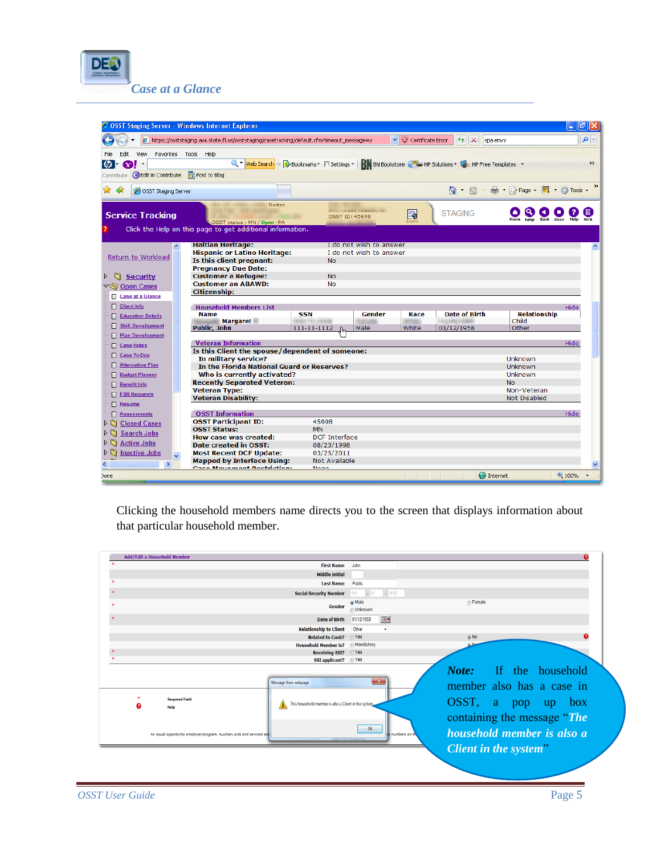

| OSST Staging Server - Windows Internet Explorer                                                                                        |                                                    |                                                                                                    | E ∥⊕∥×                            |
|----------------------------------------------------------------------------------------------------------------------------------------|----------------------------------------------------|----------------------------------------------------------------------------------------------------|-----------------------------------|
| https://osststaging.awi.state.fl.us/osststaging/casetracking/default.cfm?timeout_message=y                                             |                                                    | $+$ $\times$<br>↓ Certificate Error                                                                | - م<br>spa envy                   |
| Edit<br>View<br>Favorites Tools Help                                                                                                   |                                                    |                                                                                                    |                                   |
| ശ<br> - ကျွး -                                                                                                                         |                                                    | Q T Web Search + Q Bookmarks T Settings ▼ RN BN Bookstore C T HP Solutions ▼ S HP Free Templates ▼ | $\rightarrow$                     |
| Contribute CEdit in Contribute<br>Post to Blog                                                                                         |                                                    |                                                                                                    |                                   |
| 48<br>OSST Staging Server                                                                                                              |                                                    |                                                                                                    | ☆ - 同 - 曲 - Drage - 圓 - ① Tools - |
| Norton<br><b>Service Tracking</b><br>OSST status : MN / Open - PA<br>Click the Help on this page to get additional information.        | OSST ID: 45698                                     | <b>STAGING</b><br>Ę                                                                                |                                   |
|                                                                                                                                        |                                                    |                                                                                                    |                                   |
| <b>Haitian Heritage:</b><br>$\overline{\phantom{a}}$<br><b>Hispanic or Latino Heritage:</b><br>Return to Workload                      | I do not wish to answer<br>I do not wish to answer |                                                                                                    | ∧                                 |
| Is this client pregnant:<br><b>Pregnancy Due Date:</b>                                                                                 | <b>No</b>                                          |                                                                                                    |                                   |
| <b>Customer a Refugee:</b><br><b>Security</b>                                                                                          | <b>No</b>                                          |                                                                                                    |                                   |
| <b>Customer an ABAWD:</b><br>▽ Sy Open Cases                                                                                           | <b>No</b>                                          |                                                                                                    |                                   |
| <b>Citizenship:</b><br>Case at a Glance                                                                                                |                                                    |                                                                                                    |                                   |
| Client Info<br><b>Household Members List</b>                                                                                           |                                                    |                                                                                                    | Hide                              |
| <b>Name</b><br><b>Education Details</b>                                                                                                | <b>SSN</b><br>Gender                               | <b>Date of Birth</b><br>Race                                                                       | <b>Relationship</b>               |
| <b>Margaret</b><br><b>Skill Development</b><br>п<br><b>Public, John</b>                                                                | 111-11-1112<br>Male                                | White<br>01/12/1958                                                                                | Child<br>Other                    |
| Plan Development                                                                                                                       |                                                    |                                                                                                    |                                   |
| <b>Veteran Information</b><br>Case Notes                                                                                               |                                                    |                                                                                                    | Hide                              |
| Is this Client the spouse/dependent of someone:<br>Case To-Dos                                                                         |                                                    |                                                                                                    | Unknown                           |
| In military service?<br><b>Alternative Plan</b><br>In the Florida National Guard or Reserves?                                          |                                                    |                                                                                                    | Unknown                           |
| Who is currently activated?<br><b>Budget Planner</b>                                                                                   |                                                    |                                                                                                    | <b>Unknown</b>                    |
| <b>Recently Separated Veteran:</b><br><b>Benefit Info</b>                                                                              |                                                    |                                                                                                    | <b>No</b>                         |
| <b>Veteran Type:</b><br>FSR Requests                                                                                                   |                                                    |                                                                                                    | Non-Veteran                       |
| <b>Veteran Disability:</b><br>Resume                                                                                                   |                                                    |                                                                                                    | <b>Not Disabled</b>               |
| <b>OSST Information</b><br>Assessments                                                                                                 |                                                    |                                                                                                    | Hide                              |
| <b>OSST Participant ID:</b><br>$\mathcal{L}$<br><b>Closed Cases</b>                                                                    | 45698                                              |                                                                                                    |                                   |
| <b>OSST Status:</b><br><b>Search Jobs</b><br>ÞΠ                                                                                        | <b>MN</b>                                          |                                                                                                    |                                   |
| How case was created:<br><b>Active Jobs</b><br>ÞΝ                                                                                      | <b>DCF</b> Interface                               |                                                                                                    |                                   |
| Date created in OSST:                                                                                                                  | 08/23/1998                                         |                                                                                                    |                                   |
| $\triangleright$ <b>S</b> Inactive Jobs<br><b>Most Recent DCF Update:</b><br>$\ddot{\phantom{1}}$<br><b>Mapped by Interface Using:</b> | 03/25/2011<br>Not Available                        |                                                                                                    |                                   |
| $\rightarrow$<br>Caro Mouamont Bartsiations                                                                                            | Mana                                               |                                                                                                    |                                   |
| Done                                                                                                                                   |                                                    | <b>D</b> Internet                                                                                  | $0.100\%$                         |

Clicking the household members name directs you to the screen that displays information about that particular household member.

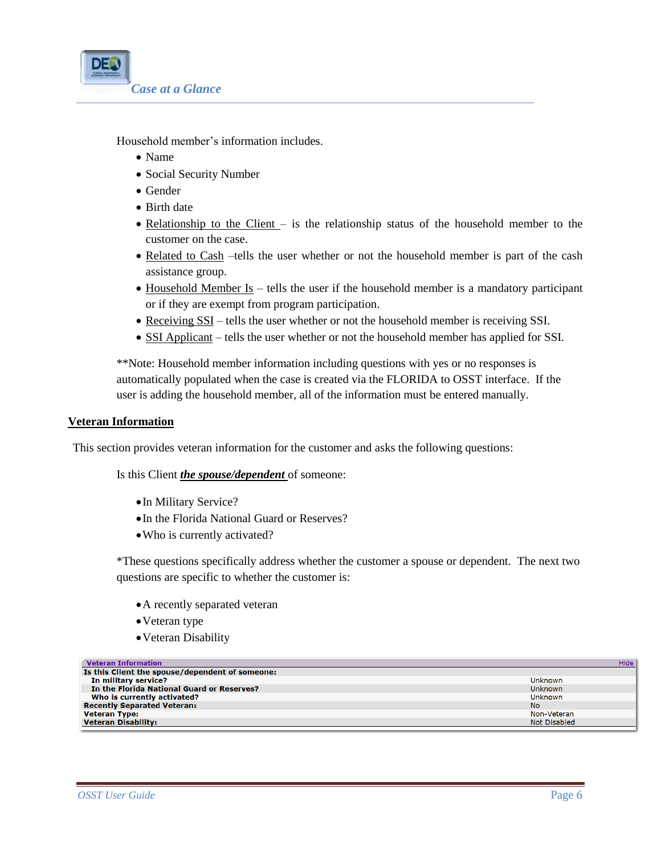

Household member's information includes.

- Name
- Social Security Number
- Gender
- Birth date
- Relationship to the Client is the relationship status of the household member to the customer on the case.
- Related to Cash –tells the user whether or not the household member is part of the cash assistance group.
- Household Member Is tells the user if the household member is a mandatory participant or if they are exempt from program participation.
- Receiving SSI tells the user whether or not the household member is receiving SSI.
- SSI Applicant tells the user whether or not the household member has applied for SSI.

\*\*Note: Household member information including questions with yes or no responses is automatically populated when the case is created via the FLORIDA to OSST interface. If the user is adding the household member, all of the information must be entered manually.

#### **Veteran Information**

This section provides veteran information for the customer and asks the following questions:

Is this Client *the spouse/dependent* of someone:

- In Military Service?
- In the Florida National Guard or Reserves?
- Who is currently activated?

\*These questions specifically address whether the customer a spouse or dependent. The next two questions are specific to whether the customer is:

- A recently separated veteran
- Veteran type
- Veteran Disability

| <b>Veteran Information</b>                      | Hide           |
|-------------------------------------------------|----------------|
| Is this Client the spouse/dependent of someone: |                |
| In military service?                            | <b>Unknown</b> |
| In the Florida National Guard or Reserves?      | Unknown        |
| Who is currently activated?                     | <b>Unknown</b> |
| <b>Recently Separated Veteran:</b>              | No.            |
| <b>Veteran Type:</b>                            | Non-Veteran    |
| <b>Veteran Disability:</b>                      | Not Disabled   |
|                                                 |                |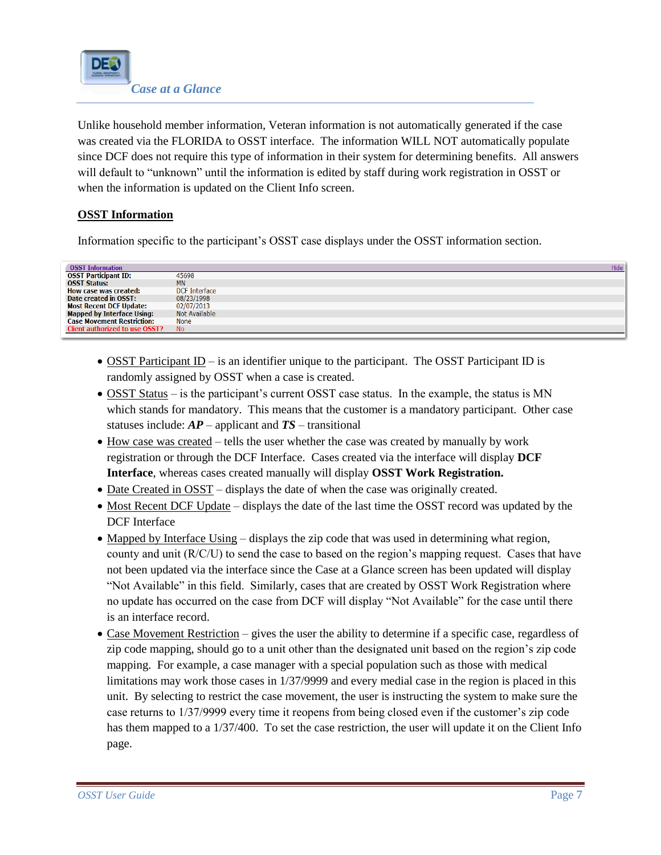

Unlike household member information, Veteran information is not automatically generated if the case was created via the FLORIDA to OSST interface. The information WILL NOT automatically populate since DCF does not require this type of information in their system for determining benefits. All answers will default to "unknown" until the information is edited by staff during work registration in OSST or when the information is updated on the Client Info screen.

## **OSST Information**

Information specific to the participant's OSST case displays under the OSST information section.

| <b>OSST Information</b>               |               | Hide |
|---------------------------------------|---------------|------|
| <b>OSST Participant ID:</b>           | 45698         |      |
| <b>OSST Status:</b>                   | <b>MN</b>     |      |
| How case was created:                 | DCF Interface |      |
| Date created in OSST:                 | 08/23/1998    |      |
| <b>Most Recent DCF Update:</b>        | 02/07/2013    |      |
| <b>Mapped by Interface Using:</b>     | Not Available |      |
| <b>Case Movement Restriction:</b>     | <b>None</b>   |      |
| <b>Client authorized to use OSST?</b> | <b>No</b>     |      |
|                                       |               |      |

- OSST Participant  $ID -$  is an identifier unique to the participant. The OSST Participant ID is randomly assigned by OSST when a case is created.
- OSST Status is the participant's current OSST case status. In the example, the status is MN which stands for mandatory. This means that the customer is a mandatory participant. Other case statuses include: *AP* – applicant and *TS* – transitional
- How case was created tells the user whether the case was created by manually by work registration or through the DCF Interface. Cases created via the interface will display **DCF Interface**, whereas cases created manually will display **OSST Work Registration.**
- Date Created in OSST displays the date of when the case was originally created.
- Most Recent DCF Update displays the date of the last time the OSST record was updated by the DCF Interface
- Mapped by Interface Using displays the zip code that was used in determining what region, county and unit (R/C/U) to send the case to based on the region's mapping request. Cases that have not been updated via the interface since the Case at a Glance screen has been updated will display "Not Available" in this field. Similarly, cases that are created by OSST Work Registration where no update has occurred on the case from DCF will display "Not Available" for the case until there is an interface record.
- Case Movement Restriction gives the user the ability to determine if a specific case, regardless of zip code mapping, should go to a unit other than the designated unit based on the region's zip code mapping. For example, a case manager with a special population such as those with medical limitations may work those cases in 1/37/9999 and every medial case in the region is placed in this unit. By selecting to restrict the case movement, the user is instructing the system to make sure the case returns to 1/37/9999 every time it reopens from being closed even if the customer's zip code has them mapped to a 1/37/400. To set the case restriction, the user will update it on the Client Info page.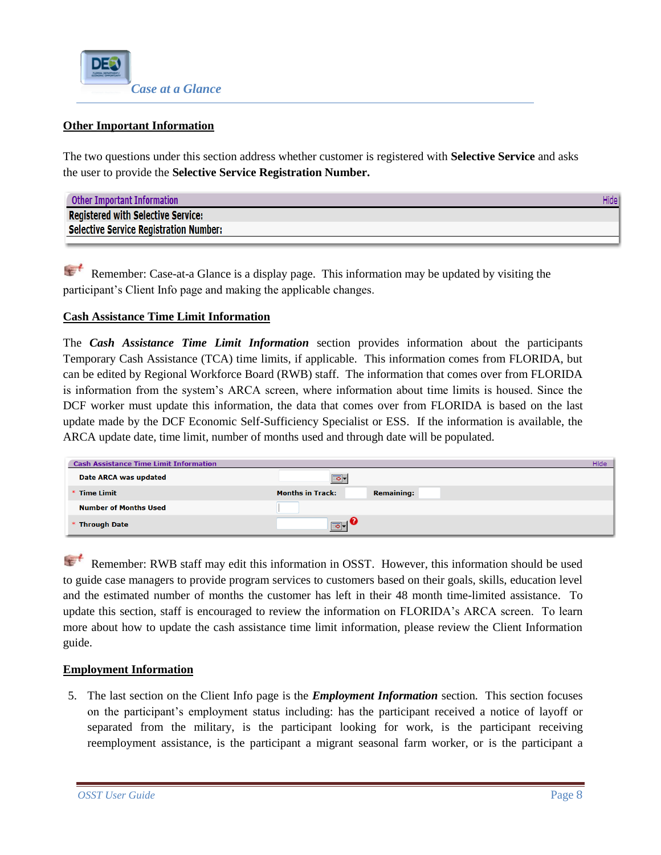

## **Other Important Information**

The two questions under this section address whether customer is registered with **Selective Service** and asks the user to provide the **Selective Service Registration Number.**

| <b>Other Important Information</b>        | Hide l |
|-------------------------------------------|--------|
| <b>Registered with Selective Service:</b> |        |
| Selective Service Registration Number:    |        |

[R](http://www.google.com/imgres?imgurl=http://bp3.blogger.com/_8lC8UqUljvQ/R3nNSk3WOOI/AAAAAAAAASQ/HdiNxjIqca0/s320/ist2_2418942_important_remember_ribbon_tied_on_finger_as_reminder_close_up.jpg&imgrefurl=http://thewanderingpolarbear.blogspot.com/2008_01_01_archive.html&usg=__qYbinRMid3fK_H9dlMPaZ3L5v58=&h=214&w=320&sz=8&hl=en&start=116&zoom=1&um=1&itbs=1&tbnid=gBiaDKhLLdKejM:&tbnh=79&tbnw=118&prev=/images?q=finger+with+ribbon&start=100&um=1&hl=en&sa=N&ndsp=20&tbs=isch:1&ei=BT6STaXqEcnZgAer_IAa)emember: Case-at-a Glance is a display page. This information may be updated by visiting the  $\sqrt{2}$ participant's Client Info page and making the applicable changes.

#### **Cash Assistance Time Limit Information**

The *Cash Assistance Time Limit Information* section provides information about the participants Temporary Cash Assistance (TCA) time limits, if applicable. This information comes from FLORIDA, but can be edited by Regional Workforce Board (RWB) staff. The information that comes over from FLORIDA is information from the system's ARCA screen, where information about time limits is housed. Since the DCF worker must update this information, the data that comes over from FLORIDA is based on the last update made by the DCF Economic Self-Sufficiency Specialist or ESS. If the information is available, the ARCA update date, time limit, number of months used and through date will be populated.

| <b>Cash Assistance Time Limit Information</b> |                                              | Hide |
|-----------------------------------------------|----------------------------------------------|------|
| Date ARCA was updated                         | $\overline{\bullet}$                         |      |
| * Time Limit                                  | <b>Months in Track:</b><br><b>Remaining:</b> |      |
| <b>Number of Months Used</b>                  |                                              |      |
| * Through Date                                | $\boxed{\circ}$                              |      |

 $\mathbf{t}$ [R](http://www.google.com/imgres?imgurl=http://bp3.blogger.com/_8lC8UqUljvQ/R3nNSk3WOOI/AAAAAAAAASQ/HdiNxjIqca0/s320/ist2_2418942_important_remember_ribbon_tied_on_finger_as_reminder_close_up.jpg&imgrefurl=http://thewanderingpolarbear.blogspot.com/2008_01_01_archive.html&usg=__qYbinRMid3fK_H9dlMPaZ3L5v58=&h=214&w=320&sz=8&hl=en&start=116&zoom=1&um=1&itbs=1&tbnid=gBiaDKhLLdKejM:&tbnh=79&tbnw=118&prev=/images?q=finger+with+ribbon&start=100&um=1&hl=en&sa=N&ndsp=20&tbs=isch:1&ei=BT6STaXqEcnZgAer_IAa)emember: RWB staff may edit this information in OSST. However, this information should be used to guide case managers to provide program services to customers based on their goals, skills, education level and the estimated number of months the customer has left in their 48 month time-limited assistance. To update this section, staff is encouraged to review the information on FLORIDA's ARCA screen. To learn more about how to update the cash assistance time limit information, please review the Client Information guide.

### **Employment Information**

5. The last section on the Client Info page is the *Employment Information* section. This section focuses on the participant's employment status including: has the participant received a notice of layoff or separated from the military, is the participant looking for work, is the participant receiving reemployment assistance, is the participant a migrant seasonal farm worker, or is the participant a